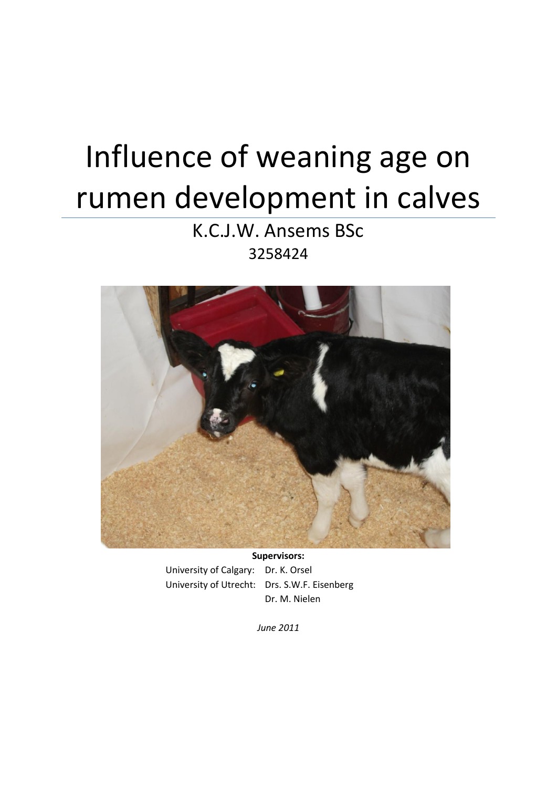# Influence of weaning age on rumen development in calves

K.C.J.W. Ansems BSc 3258424



**Supervisors:** University of Calgary: Dr. K. Orsel University of Utrecht: Drs. S.W.F. Eisenberg Dr. M. Nielen

*June 2011*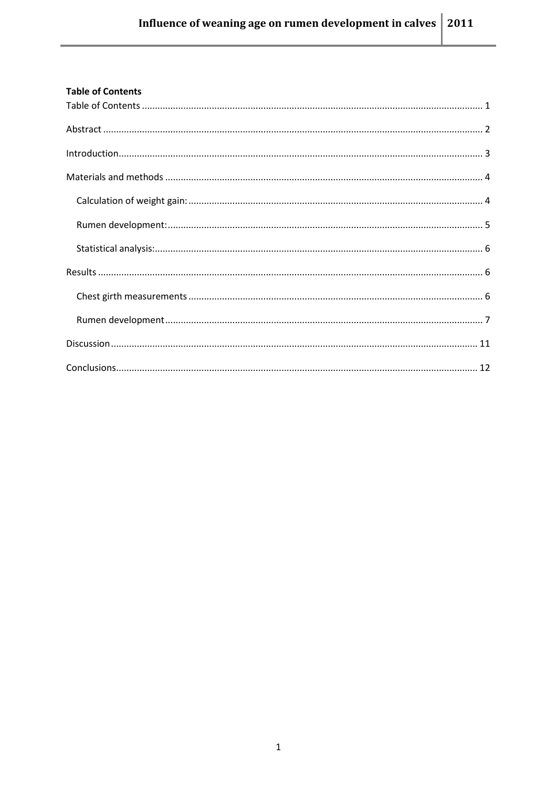<span id="page-1-0"></span>

| <b>Table of Contents</b> |  |
|--------------------------|--|
|                          |  |
|                          |  |
|                          |  |
|                          |  |
|                          |  |
|                          |  |
|                          |  |
|                          |  |
|                          |  |
|                          |  |
|                          |  |
|                          |  |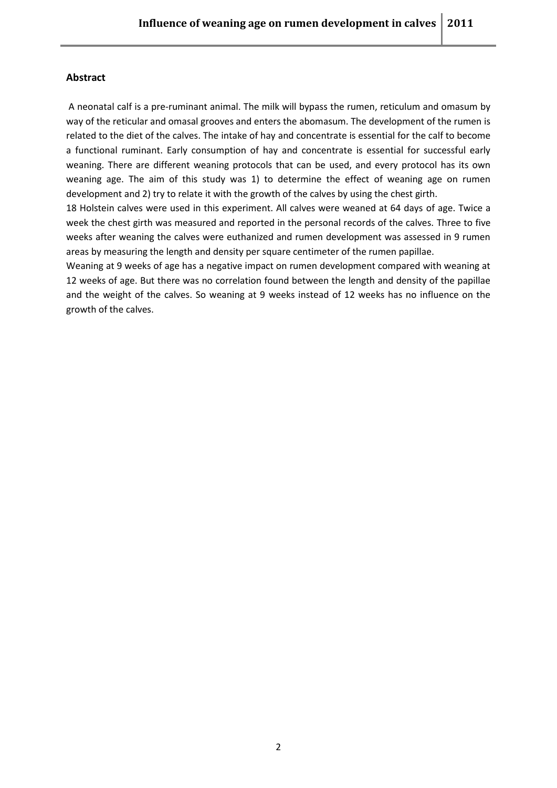## <span id="page-2-0"></span>**Abstract**

A neonatal calf is a pre-ruminant animal. The milk will bypass the rumen, reticulum and omasum by way of the reticular and omasal grooves and enters the abomasum. The development of the rumen is related to the diet of the calves. The intake of hay and concentrate is essential for the calf to become a functional ruminant. Early consumption of hay and concentrate is essential for successful early weaning. There are different weaning protocols that can be used, and every protocol has its own weaning age. The aim of this study was 1) to determine the effect of weaning age on rumen development and 2) try to relate it with the growth of the calves by using the chest girth.

18 Holstein calves were used in this experiment. All calves were weaned at 64 days of age. Twice a week the chest girth was measured and reported in the personal records of the calves. Three to five weeks after weaning the calves were euthanized and rumen development was assessed in 9 rumen areas by measuring the length and density per square centimeter of the rumen papillae.

Weaning at 9 weeks of age has a negative impact on rumen development compared with weaning at 12 weeks of age. But there was no correlation found between the length and density of the papillae and the weight of the calves. So weaning at 9 weeks instead of 12 weeks has no influence on the growth of the calves.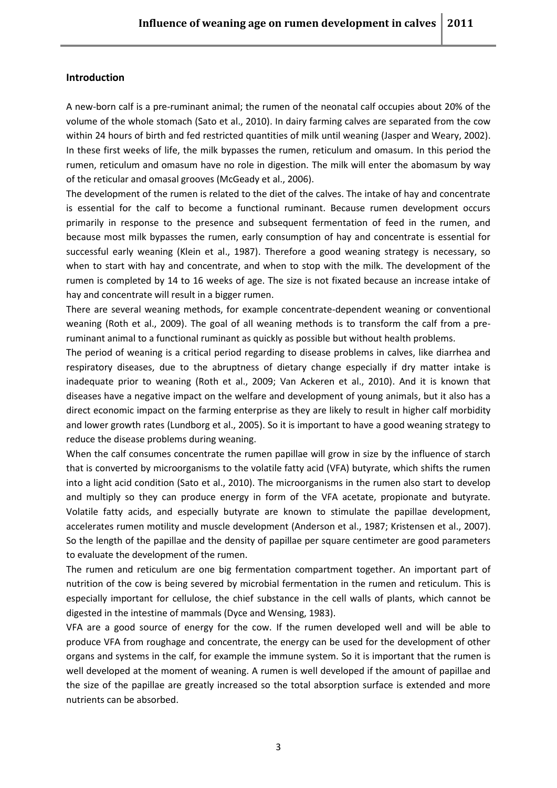#### <span id="page-3-0"></span>**Introduction**

A new-born calf is a pre-ruminant animal; the rumen of the neonatal calf occupies about 20% of the volume of the whole stomach (Sato et al., 2010). In dairy farming calves are separated from the cow within 24 hours of birth and fed restricted quantities of milk until weaning (Jasper and Weary, 2002). In these first weeks of life, the milk bypasses the rumen, reticulum and omasum. In this period the rumen, reticulum and omasum have no role in digestion. The milk will enter the abomasum by way of the reticular and omasal grooves (McGeady et al., 2006).

The development of the rumen is related to the diet of the calves. The intake of hay and concentrate is essential for the calf to become a functional ruminant. Because rumen development occurs primarily in response to the presence and subsequent fermentation of feed in the rumen, and because most milk bypasses the rumen, early consumption of hay and concentrate is essential for successful early weaning (Klein et al., 1987). Therefore a good weaning strategy is necessary, so when to start with hay and concentrate, and when to stop with the milk. The development of the rumen is completed by 14 to 16 weeks of age. The size is not fixated because an increase intake of hay and concentrate will result in a bigger rumen.

There are several weaning methods, for example concentrate-dependent weaning or conventional weaning (Roth et al., 2009). The goal of all weaning methods is to transform the calf from a preruminant animal to a functional ruminant as quickly as possible but without health problems.

The period of weaning is a critical period regarding to disease problems in calves, like diarrhea and respiratory diseases, due to the abruptness of dietary change especially if dry matter intake is inadequate prior to weaning (Roth et al., 2009; Van Ackeren et al., 2010). And it is known that diseases have a negative impact on the welfare and development of young animals, but it also has a direct economic impact on the farming enterprise as they are likely to result in higher calf morbidity and lower growth rates (Lundborg et al., 2005). So it is important to have a good weaning strategy to reduce the disease problems during weaning.

When the calf consumes concentrate the rumen papillae will grow in size by the influence of starch that is converted by microorganisms to the volatile fatty acid (VFA) butyrate, which shifts the rumen into a light acid condition (Sato et al., 2010). The microorganisms in the rumen also start to develop and multiply so they can produce energy in form of the VFA acetate, propionate and butyrate. Volatile fatty acids, and especially butyrate are known to stimulate the papillae development, accelerates rumen motility and muscle development (Anderson et al., 1987; Kristensen et al., 2007). So the length of the papillae and the density of papillae per square centimeter are good parameters to evaluate the development of the rumen.

The rumen and reticulum are one big fermentation compartment together. An important part of nutrition of the cow is being severed by microbial fermentation in the rumen and reticulum. This is especially important for cellulose, the chief substance in the cell walls of plants, which cannot be digested in the intestine of mammals (Dyce and Wensing, 1983).

VFA are a good source of energy for the cow. If the rumen developed well and will be able to produce VFA from roughage and concentrate, the energy can be used for the development of other organs and systems in the calf, for example the immune system. So it is important that the rumen is well developed at the moment of weaning. A rumen is well developed if the amount of papillae and the size of the papillae are greatly increased so the total absorption surface is extended and more nutrients can be absorbed.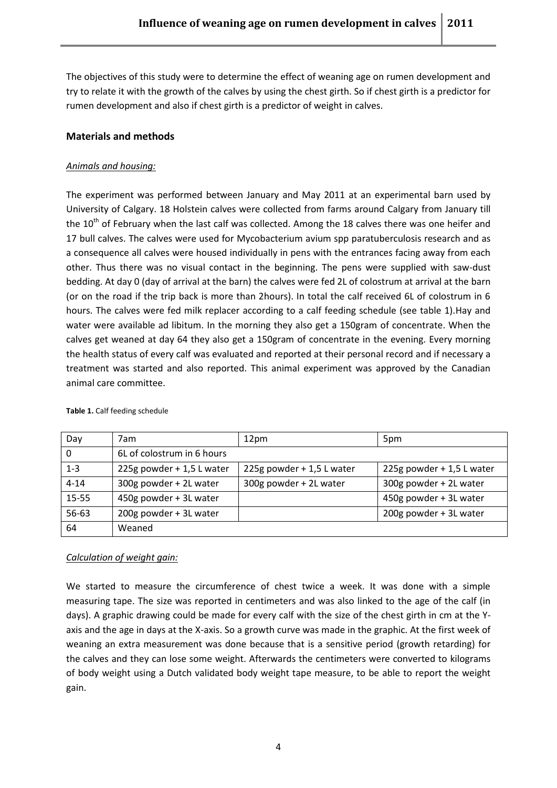The objectives of this study were to determine the effect of weaning age on rumen development and try to relate it with the growth of the calves by using the chest girth. So if chest girth is a predictor for rumen development and also if chest girth is a predictor of weight in calves.

# <span id="page-4-0"></span>**Materials and methods**

# *Animals and housing:*

The experiment was performed between January and May 2011 at an experimental barn used by University of Calgary. 18 Holstein calves were collected from farms around Calgary from January till the  $10<sup>th</sup>$  of February when the last calf was collected. Among the 18 calves there was one heifer and 17 bull calves. The calves were used for Mycobacterium avium spp paratuberculosis research and as a consequence all calves were housed individually in pens with the entrances facing away from each other. Thus there was no visual contact in the beginning. The pens were supplied with saw-dust bedding. At day 0 (day of arrival at the barn) the calves were fed 2L of colostrum at arrival at the barn (or on the road if the trip back is more than 2hours). In total the calf received 6L of colostrum in 6 hours. The calves were fed milk replacer according to a calf feeding schedule (see table 1).Hay and water were available ad libitum. In the morning they also get a 150gram of concentrate. When the calves get weaned at day 64 they also get a 150gram of concentrate in the evening. Every morning the health status of every calf was evaluated and reported at their personal record and if necessary a treatment was started and also reported. This animal experiment was approved by the Canadian animal care committee.

| Day          | 7am                        | 12pm                      | 5pm                       |
|--------------|----------------------------|---------------------------|---------------------------|
| $\mathbf{0}$ | 6L of colostrum in 6 hours |                           |                           |
| $1 - 3$      | 225g powder + 1,5 L water  | 225g powder + 1,5 L water | 225g powder + 1,5 L water |
| $4 - 14$     | 300g powder + 2L water     | 300g powder + 2L water    | 300g powder + 2L water    |
| 15-55        | 450g powder + 3L water     |                           | 450g powder + 3L water    |
| 56-63        | 200g powder + 3L water     |                           | 200g powder + 3L water    |
| 64           | Weaned                     |                           |                           |

**Table 1.** Calf feeding schedule

## <span id="page-4-1"></span>*Calculation of weight gain:*

We started to measure the circumference of chest twice a week. It was done with a simple measuring tape. The size was reported in centimeters and was also linked to the age of the calf (in days). A graphic drawing could be made for every calf with the size of the chest girth in cm at the Yaxis and the age in days at the X-axis. So a growth curve was made in the graphic. At the first week of weaning an extra measurement was done because that is a sensitive period (growth retarding) for the calves and they can lose some weight. Afterwards the centimeters were converted to kilograms of body weight using a Dutch validated body weight tape measure, to be able to report the weight gain.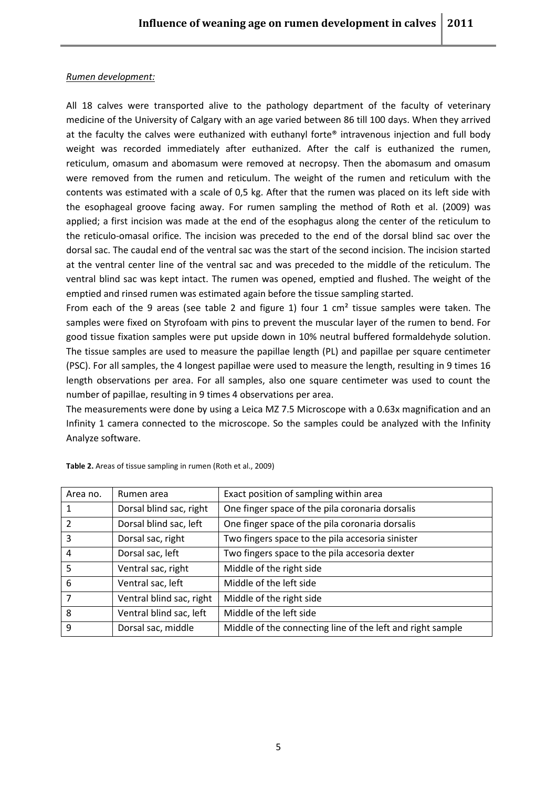## <span id="page-5-0"></span>*Rumen development:*

All 18 calves were transported alive to the pathology department of the faculty of veterinary medicine of the University of Calgary with an age varied between 86 till 100 days. When they arrived at the faculty the calves were euthanized with euthanyl forte® intravenous injection and full body weight was recorded immediately after euthanized. After the calf is euthanized the rumen, reticulum, omasum and abomasum were removed at necropsy. Then the abomasum and omasum were removed from the rumen and reticulum. The weight of the rumen and reticulum with the contents was estimated with a scale of 0,5 kg. After that the rumen was placed on its left side with the esophageal groove facing away. For rumen sampling the method of Roth et al. (2009) was applied; a first incision was made at the end of the esophagus along the center of the reticulum to the reticulo-omasal orifice. The incision was preceded to the end of the dorsal blind sac over the dorsal sac. The caudal end of the ventral sac was the start of the second incision. The incision started at the ventral center line of the ventral sac and was preceded to the middle of the reticulum. The ventral blind sac was kept intact. The rumen was opened, emptied and flushed. The weight of the emptied and rinsed rumen was estimated again before the tissue sampling started.

From each of the 9 areas (see table 2 and figure 1) four 1  $\text{cm}^2$  tissue samples were taken. The samples were fixed on Styrofoam with pins to prevent the muscular layer of the rumen to bend. For good tissue fixation samples were put upside down in 10% neutral buffered formaldehyde solution. The tissue samples are used to measure the papillae length (PL) and papillae per square centimeter (PSC). For all samples, the 4 longest papillae were used to measure the length, resulting in 9 times 16 length observations per area. For all samples, also one square centimeter was used to count the number of papillae, resulting in 9 times 4 observations per area.

The measurements were done by using a Leica MZ 7.5 Microscope with a 0.63x magnification and an Infinity 1 camera connected to the microscope. So the samples could be analyzed with the Infinity Analyze software.

| Area no.       | Rumen area               | Exact position of sampling within area                     |
|----------------|--------------------------|------------------------------------------------------------|
|                | Dorsal blind sac, right  | One finger space of the pila coronaria dorsalis            |
| $\overline{2}$ | Dorsal blind sac, left   | One finger space of the pila coronaria dorsalis            |
| $\overline{3}$ | Dorsal sac, right        | Two fingers space to the pila accesoria sinister           |
| 4              | Dorsal sac, left         | Two fingers space to the pila accesoria dexter             |
| -5             | Ventral sac, right       | Middle of the right side                                   |
| 6              | Ventral sac, left        | Middle of the left side                                    |
| $\overline{7}$ | Ventral blind sac, right | Middle of the right side                                   |
| 8              | Ventral blind sac, left  | Middle of the left side                                    |
| q              | Dorsal sac, middle       | Middle of the connecting line of the left and right sample |
|                |                          |                                                            |

**Table 2.** Areas of tissue sampling in rumen (Roth et al., 2009)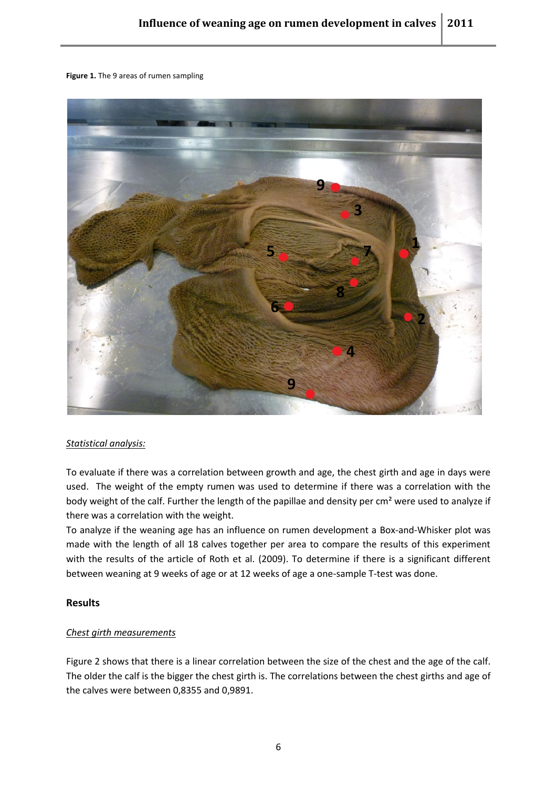#### **Figure 1.** The 9 areas of rumen sampling



#### <span id="page-6-0"></span>*Statistical analysis:*

To evaluate if there was a correlation between growth and age, the chest girth and age in days were used. The weight of the empty rumen was used to determine if there was a correlation with the body weight of the calf. Further the length of the papillae and density per cm<sup>2</sup> were used to analyze if there was a correlation with the weight.

To analyze if the weaning age has an influence on rumen development a Box-and-Whisker plot was made with the length of all 18 calves together per area to compare the results of this experiment with the results of the article of Roth et al. (2009). To determine if there is a significant different between weaning at 9 weeks of age or at 12 weeks of age a one-sample T-test was done.

#### <span id="page-6-1"></span>**Results**

#### <span id="page-6-2"></span>*Chest girth measurements*

Figure 2 shows that there is a linear correlation between the size of the chest and the age of the calf. The older the calf is the bigger the chest girth is. The correlations between the chest girths and age of the calves were between 0,8355 and 0,9891.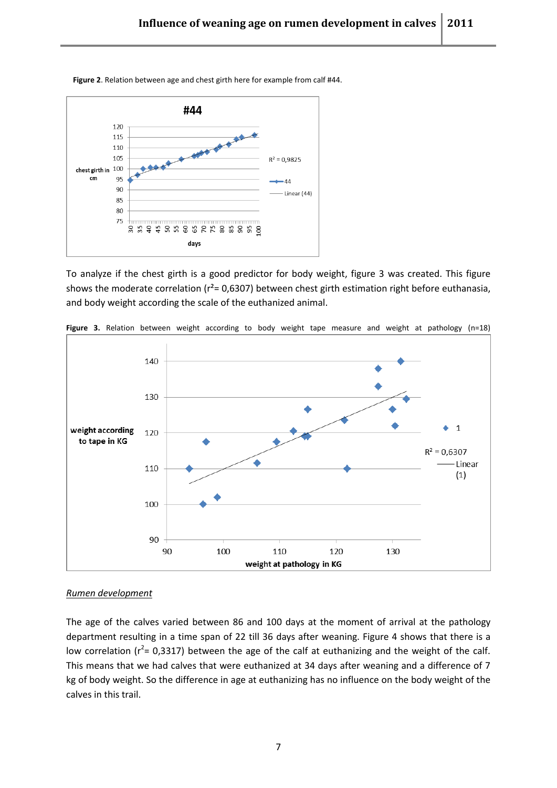

**Figure 2**. Relation between age and chest girth here for example from calf #44.

To analyze if the chest girth is a good predictor for body weight, figure 3 was created. This figure shows the moderate correlation ( $r^2$ = 0,6307) between chest girth estimation right before euthanasia, and body weight according the scale of the euthanized animal.



**Figure 3.** Relation between weight according to body weight tape measure and weight at pathology (n=18)

#### <span id="page-7-0"></span>*Rumen development*

The age of the calves varied between 86 and 100 days at the moment of arrival at the pathology department resulting in a time span of 22 till 36 days after weaning. Figure 4 shows that there is a low correlation ( $r^2$ = 0,3317) between the age of the calf at euthanizing and the weight of the calf. This means that we had calves that were euthanized at 34 days after weaning and a difference of 7 kg of body weight. So the difference in age at euthanizing has no influence on the body weight of the calves in this trail.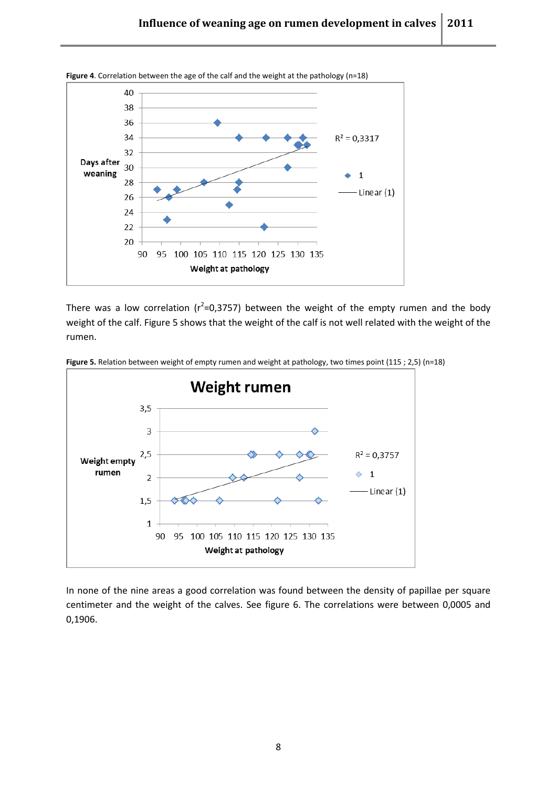

There was a low correlation ( $r^2$ =0,3757) between the weight of the empty rumen and the body weight of the calf. Figure 5 shows that the weight of the calf is not well related with the weight of the rumen.



**Figure 5.** Relation between weight of empty rumen and weight at pathology, two times point (115 ; 2,5) (n=18)

In none of the nine areas a good correlation was found between the density of papillae per square centimeter and the weight of the calves. See figure 6. The correlations were between 0,0005 and 0,1906.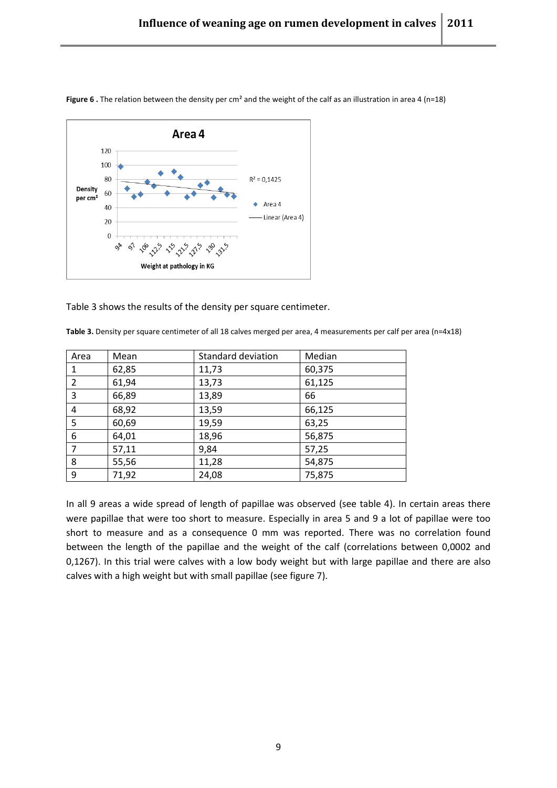

**Figure 6** . The relation between the density per cm<sup>2</sup> and the weight of the calf as an illustration in area 4 (n=18)

Table 3 shows the results of the density per square centimeter.

**Table 3.** Density per square centimeter of all 18 calves merged per area, 4 measurements per calf per area (n=4x18)

| Area           | Mean  | Standard deviation | Median |
|----------------|-------|--------------------|--------|
| 1              | 62,85 | 11,73              | 60,375 |
| 2              | 61,94 | 13,73              | 61,125 |
| 3              | 66,89 | 13,89              | 66     |
| 4              | 68,92 | 13,59              | 66,125 |
| 5              | 60,69 | 19,59              | 63,25  |
| 6              | 64,01 | 18,96              | 56,875 |
| $\overline{7}$ | 57,11 | 9,84               | 57,25  |
| 8              | 55,56 | 11,28              | 54,875 |
| 9              | 71,92 | 24,08              | 75,875 |

In all 9 areas a wide spread of length of papillae was observed (see table 4). In certain areas there were papillae that were too short to measure. Especially in area 5 and 9 a lot of papillae were too short to measure and as a consequence 0 mm was reported. There was no correlation found between the length of the papillae and the weight of the calf (correlations between 0,0002 and 0,1267). In this trial were calves with a low body weight but with large papillae and there are also calves with a high weight but with small papillae (see figure 7).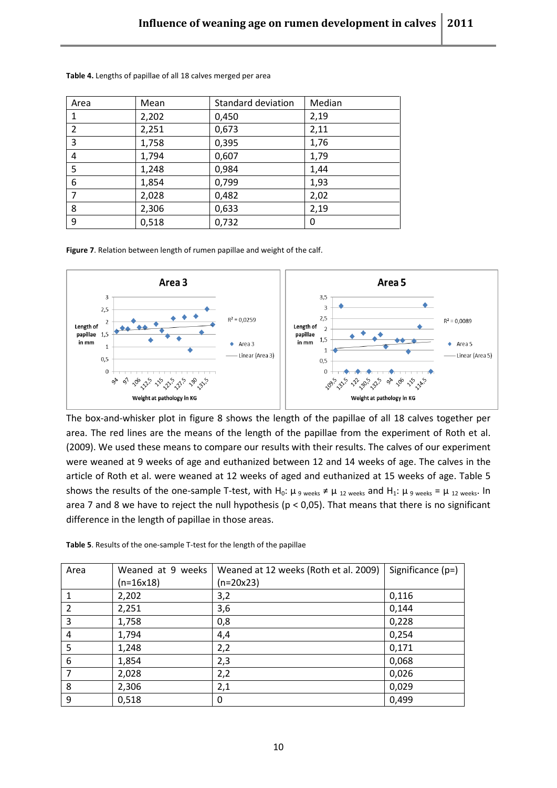| Area           | Mean  | <b>Standard deviation</b> | Median |
|----------------|-------|---------------------------|--------|
| 1              | 2,202 | 0,450                     | 2,19   |
| $\overline{2}$ | 2,251 | 0,673                     | 2,11   |
| 3              | 1,758 | 0,395                     | 1,76   |
| 4              | 1,794 | 0,607                     | 1,79   |
| 5              | 1,248 | 0,984                     | 1,44   |
| 6              | 1,854 | 0,799                     | 1,93   |
|                | 2,028 | 0,482                     | 2,02   |
| 8              | 2,306 | 0,633                     | 2,19   |
| 9              | 0,518 | 0,732                     | 0      |

**Table 4.** Lengths of papillae of all 18 calves merged per area

**Figure 7**. Relation between length of rumen papillae and weight of the calf.



The box-and-whisker plot in figure 8 shows the length of the papillae of all 18 calves together per area. The red lines are the means of the length of the papillae from the experiment of Roth et al. (2009). We used these means to compare our results with their results. The calves of our experiment were weaned at 9 weeks of age and euthanized between 12 and 14 weeks of age. The calves in the article of Roth et al. were weaned at 12 weeks of aged and euthanized at 15 weeks of age. Table 5 shows the results of the one-sample T-test, with H<sub>0</sub>:  $\mu_9$  weeks  $\neq \mu_{12}$  weeks and H<sub>1</sub>:  $\mu_9$  weeks =  $\mu_{12}$  weeks. In area 7 and 8 we have to reject the null hypothesis (p < 0,05). That means that there is no significant difference in the length of papillae in those areas.

| Table 5. Results of the one-sample T-test for the length of the papillae |
|--------------------------------------------------------------------------|
|--------------------------------------------------------------------------|

| Area | Weaned at 9 weeks | Weaned at 12 weeks (Roth et al. 2009) | Significance (p=) |
|------|-------------------|---------------------------------------|-------------------|
|      | (n=16x18)         | $(n=20x23)$                           |                   |
| 1    | 2,202             | 3,2                                   | 0,116             |
| 2    | 2,251             | 3,6                                   | 0,144             |
| 3    | 1,758             | 0,8                                   | 0,228             |
| 4    | 1,794             | 4,4                                   | 0,254             |
| 5    | 1,248             | 2,2                                   | 0,171             |
| 6    | 1,854             | 2,3                                   | 0,068             |
| 7    | 2,028             | 2,2                                   | 0,026             |
| 8    | 2,306             | 2,1                                   | 0,029             |
| 9    | 0,518             | 0                                     | 0,499             |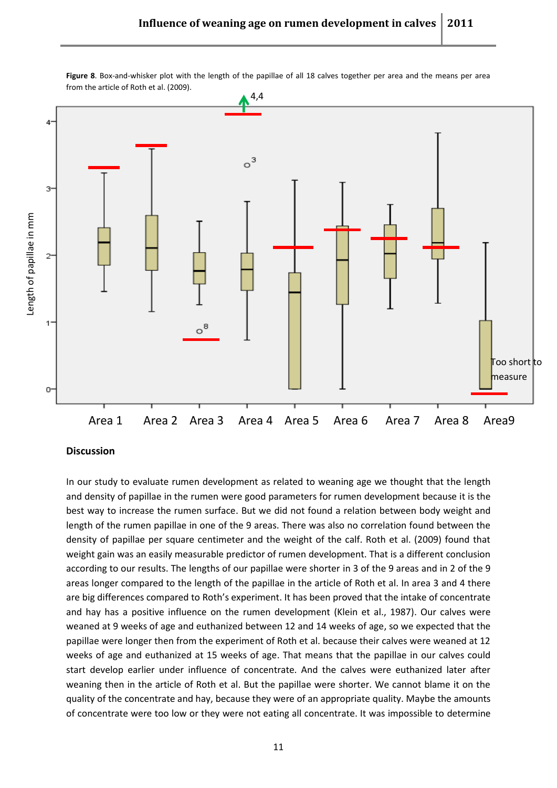

**Figure 8**. Box-and-whisker plot with the length of the papillae of all 18 calves together per area and the means per area from the article of Roth et al. (2009).

#### <span id="page-11-0"></span>**Discussion**

In our study to evaluate rumen development as related to weaning age we thought that the length and density of papillae in the rumen were good parameters for rumen development because it is the best way to increase the rumen surface. But we did not found a relation between body weight and length of the rumen papillae in one of the 9 areas. There was also no correlation found between the density of papillae per square centimeter and the weight of the calf. Roth et al. (2009) found that weight gain was an easily measurable predictor of rumen development. That is a different conclusion according to our results. The lengths of our papillae were shorter in 3 of the 9 areas and in 2 of the 9 areas longer compared to the length of the papillae in the article of Roth et al. In area 3 and 4 there are big differences compared to Roth's experiment. It has been proved that the intake of concentrate and hay has a positive influence on the rumen development (Klein et al., 1987). Our calves were weaned at 9 weeks of age and euthanized between 12 and 14 weeks of age, so we expected that the papillae were longer then from the experiment of Roth et al. because their calves were weaned at 12 weeks of age and euthanized at 15 weeks of age. That means that the papillae in our calves could start develop earlier under influence of concentrate. And the calves were euthanized later after weaning then in the article of Roth et al. But the papillae were shorter. We cannot blame it on the quality of the concentrate and hay, because they were of an appropriate quality. Maybe the amounts of concentrate were too low or they were not eating all concentrate. It was impossible to determine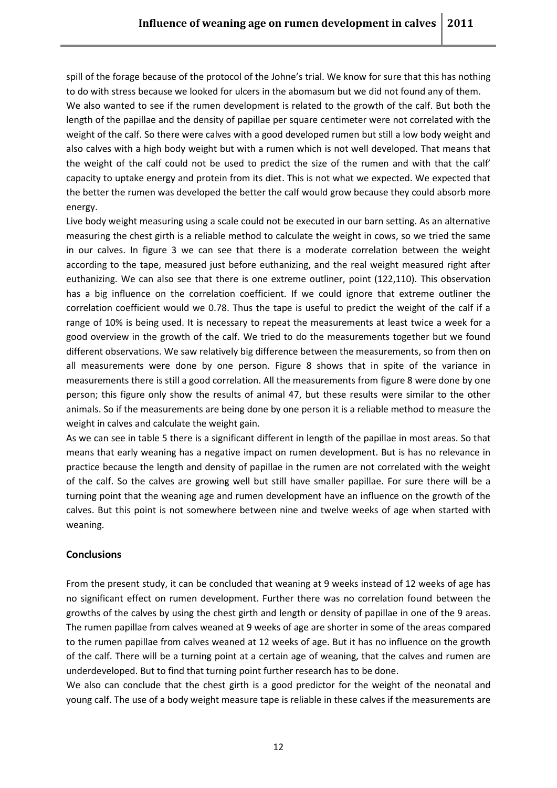spill of the forage because of the protocol of the Johne's trial. We know for sure that this has nothing to do with stress because we looked for ulcers in the abomasum but we did not found any of them.

We also wanted to see if the rumen development is related to the growth of the calf. But both the length of the papillae and the density of papillae per square centimeter were not correlated with the weight of the calf. So there were calves with a good developed rumen but still a low body weight and also calves with a high body weight but with a rumen which is not well developed. That means that the weight of the calf could not be used to predict the size of the rumen and with that the calf' capacity to uptake energy and protein from its diet. This is not what we expected. We expected that the better the rumen was developed the better the calf would grow because they could absorb more energy.

Live body weight measuring using a scale could not be executed in our barn setting. As an alternative measuring the chest girth is a reliable method to calculate the weight in cows, so we tried the same in our calves. In figure 3 we can see that there is a moderate correlation between the weight according to the tape, measured just before euthanizing, and the real weight measured right after euthanizing. We can also see that there is one extreme outliner, point (122,110). This observation has a big influence on the correlation coefficient. If we could ignore that extreme outliner the correlation coefficient would we 0.78. Thus the tape is useful to predict the weight of the calf if a range of 10% is being used. It is necessary to repeat the measurements at least twice a week for a good overview in the growth of the calf. We tried to do the measurements together but we found different observations. We saw relatively big difference between the measurements, so from then on all measurements were done by one person. Figure 8 shows that in spite of the variance in measurements there is still a good correlation. All the measurements from figure 8 were done by one person; this figure only show the results of animal 47, but these results were similar to the other animals. So if the measurements are being done by one person it is a reliable method to measure the weight in calves and calculate the weight gain.

As we can see in table 5 there is a significant different in length of the papillae in most areas. So that means that early weaning has a negative impact on rumen development. But is has no relevance in practice because the length and density of papillae in the rumen are not correlated with the weight of the calf. So the calves are growing well but still have smaller papillae. For sure there will be a turning point that the weaning age and rumen development have an influence on the growth of the calves. But this point is not somewhere between nine and twelve weeks of age when started with weaning.

## <span id="page-12-0"></span>**Conclusions**

From the present study, it can be concluded that weaning at 9 weeks instead of 12 weeks of age has no significant effect on rumen development. Further there was no correlation found between the growths of the calves by using the chest girth and length or density of papillae in one of the 9 areas. The rumen papillae from calves weaned at 9 weeks of age are shorter in some of the areas compared to the rumen papillae from calves weaned at 12 weeks of age. But it has no influence on the growth of the calf. There will be a turning point at a certain age of weaning, that the calves and rumen are underdeveloped. But to find that turning point further research has to be done.

We also can conclude that the chest girth is a good predictor for the weight of the neonatal and young calf. The use of a body weight measure tape is reliable in these calves if the measurements are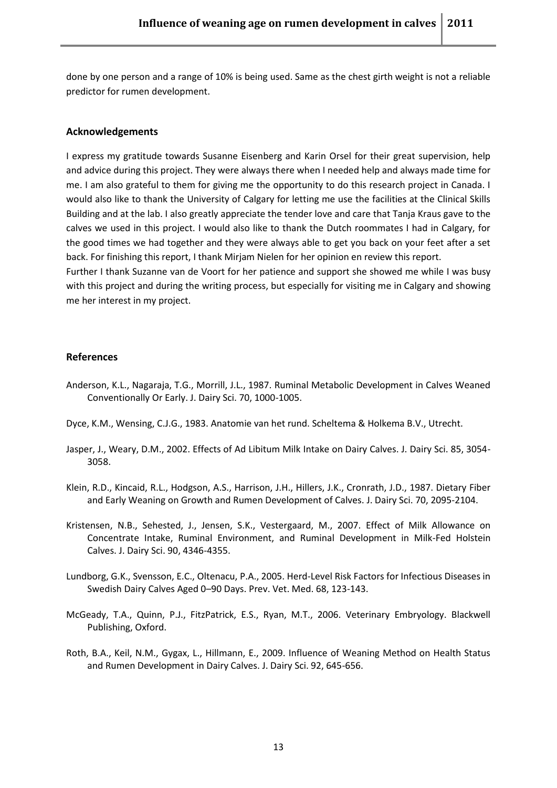done by one person and a range of 10% is being used. Same as the chest girth weight is not a reliable predictor for rumen development.

#### **Acknowledgements**

I express my gratitude towards Susanne Eisenberg and Karin Orsel for their great supervision, help and advice during this project. They were always there when I needed help and always made time for me. I am also grateful to them for giving me the opportunity to do this research project in Canada. I would also like to thank the University of Calgary for letting me use the facilities at the Clinical Skills Building and at the lab. I also greatly appreciate the tender love and care that Tanja Kraus gave to the calves we used in this project. I would also like to thank the Dutch roommates I had in Calgary, for the good times we had together and they were always able to get you back on your feet after a set back. For finishing this report, I thank Mirjam Nielen for her opinion en review this report.

Further I thank Suzanne van de Voort for her patience and support she showed me while I was busy with this project and during the writing process, but especially for visiting me in Calgary and showing me her interest in my project.

#### **References**

- Anderson, K.L., Nagaraja, T.G., Morrill, J.L., 1987. Ruminal Metabolic Development in Calves Weaned Conventionally Or Early. J. Dairy Sci. 70, 1000-1005.
- Dyce, K.M., Wensing, C.J.G., 1983. Anatomie van het rund. Scheltema & Holkema B.V., Utrecht.
- Jasper, J., Weary, D.M., 2002. Effects of Ad Libitum Milk Intake on Dairy Calves. J. Dairy Sci. 85, 3054- 3058.
- Klein, R.D., Kincaid, R.L., Hodgson, A.S., Harrison, J.H., Hillers, J.K., Cronrath, J.D., 1987. Dietary Fiber and Early Weaning on Growth and Rumen Development of Calves. J. Dairy Sci. 70, 2095-2104.
- Kristensen, N.B., Sehested, J., Jensen, S.K., Vestergaard, M., 2007. Effect of Milk Allowance on Concentrate Intake, Ruminal Environment, and Ruminal Development in Milk-Fed Holstein Calves. J. Dairy Sci. 90, 4346-4355.
- Lundborg, G.K., Svensson, E.C., Oltenacu, P.A., 2005. Herd-Level Risk Factors for Infectious Diseases in Swedish Dairy Calves Aged 0–90 Days. Prev. Vet. Med. 68, 123-143.
- McGeady, T.A., Quinn, P.J., FitzPatrick, E.S., Ryan, M.T., 2006. Veterinary Embryology. Blackwell Publishing, Oxford.
- Roth, B.A., Keil, N.M., Gygax, L., Hillmann, E., 2009. Influence of Weaning Method on Health Status and Rumen Development in Dairy Calves. J. Dairy Sci. 92, 645-656.